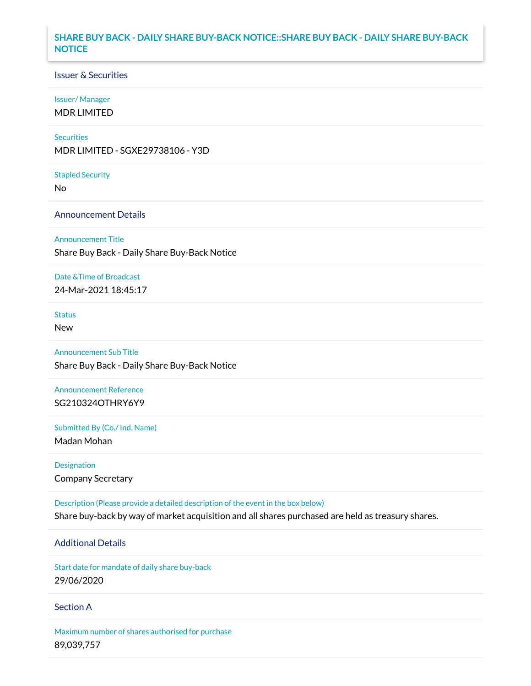# **SHARE BUY BACK - DAILY SHARE BUY-BACK NOTICE::SHARE BUY BACK - DAILY SHARE BUY-BACK NOTICE**

#### Issuer & Securities

#### Issuer/ Manager

MDR LIMITED

#### **Securities**

MDR LIMITED - SGXE29738106 - Y3D

#### Stapled Security

No

## Announcement Details

#### Announcement Title

Share Buy Back - Daily Share Buy-Back Notice

#### Date &Time of Broadcast

24-Mar-2021 18:45:17

# Status

New

# Announcement Sub Title

Share Buy Back - Daily Share Buy-Back Notice

# Announcement Reference SG210324OTHRY6Y9

Submitted By (Co./ Ind. Name)

Madan Mohan

# Designation Company Secretary

Description (Please provide a detailed description of the event in the box below)

# Share buy-back by way of market acquisition and all shares purchased are held as treasury shares.

# Additional Details

Start date for mandate of daily share buy-back 29/06/2020

#### Section A

Maximum number of shares authorised for purchase 89,039,757